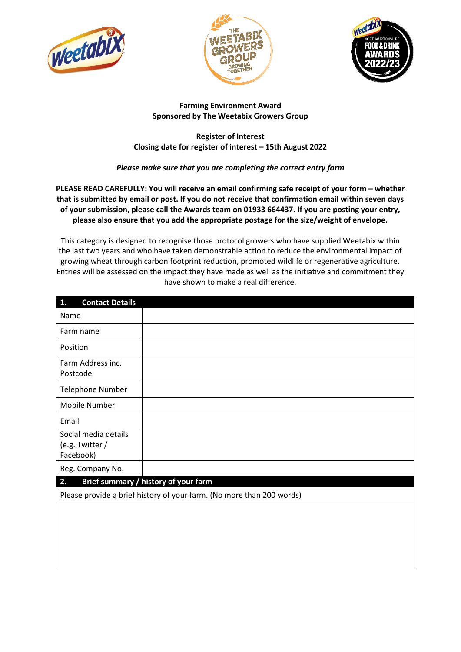





### **Farming Environment Award Sponsored by The Weetabix Growers Group**

### **Register of Interest Closing date for register of interest – 15th August 2022**

# *Please make sure that you are completing the correct entry form*

**PLEASE READ CAREFULLY: You will receive an email confirming safe receipt of your form – whether that is submitted by email or post. If you do not receive that confirmation email within seven days of your submission, please call the Awards team on 01933 664437. If you are posting your entry, please also ensure that you add the appropriate postage for the size/weight of envelope.**

This category is designed to recognise those protocol growers who have supplied Weetabix within the last two years and who have taken demonstrable action to reduce the environmental impact of growing wheat through carbon footprint reduction, promoted wildlife or regenerative agriculture. Entries will be assessed on the impact they have made as well as the initiative and commitment they have shown to make a real difference.

| <b>Contact Details</b><br>1.                                          |                                      |  |
|-----------------------------------------------------------------------|--------------------------------------|--|
| Name                                                                  |                                      |  |
| Farm name                                                             |                                      |  |
| Position                                                              |                                      |  |
| Farm Address inc.<br>Postcode                                         |                                      |  |
| <b>Telephone Number</b>                                               |                                      |  |
| Mobile Number                                                         |                                      |  |
| Email                                                                 |                                      |  |
| Social media details<br>(e.g. Twitter /<br>Facebook)                  |                                      |  |
| Reg. Company No.                                                      |                                      |  |
| 2.                                                                    | Brief summary / history of your farm |  |
| Please provide a brief history of your farm. (No more than 200 words) |                                      |  |
|                                                                       |                                      |  |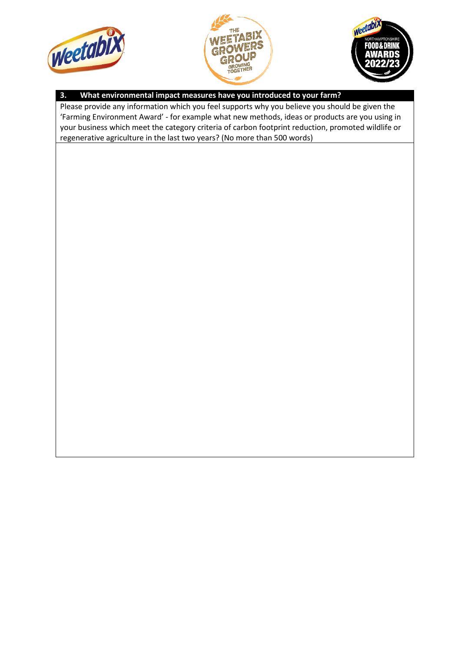





## **3. What environmental impact measures have you introduced to your farm?**

Please provide any information which you feel supports why you believe you should be given the 'Farming Environment Award' - for example what new methods, ideas or products are you using in your business which meet the category criteria of carbon footprint reduction, promoted wildlife or regenerative agriculture in the last two years? (No more than 500 words)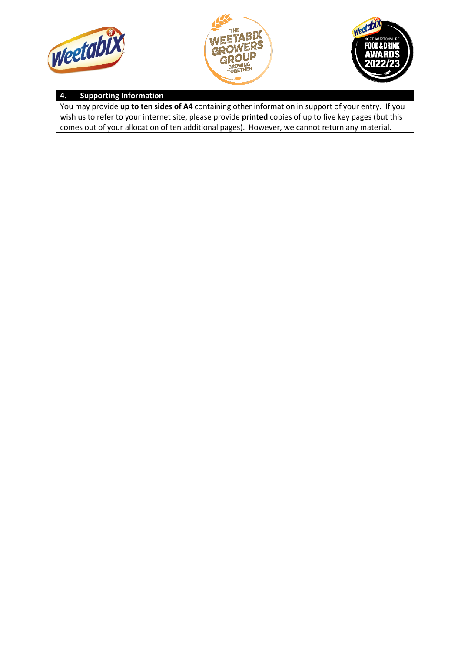





# **4. Supporting Information**

You may provide **up to ten sides of A4** containing other information in support of your entry. If you wish us to refer to your internet site, please provide **printed** copies of up to five key pages (but this comes out of your allocation of ten additional pages). However, we cannot return any material.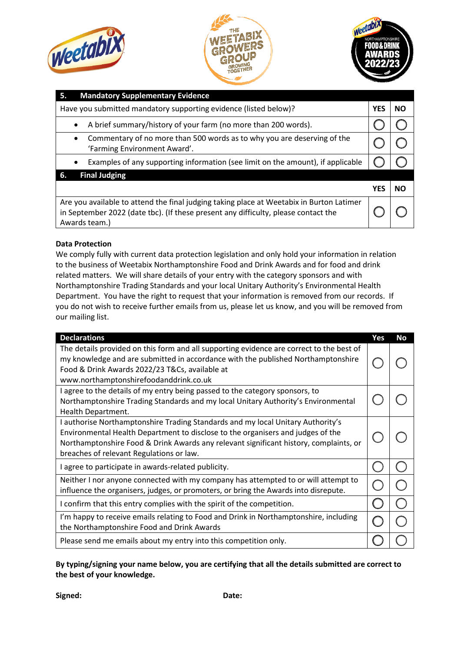





| <b>Mandatory Supplementary Evidence</b><br>5.                                                                                                                                                   |            |           |
|-------------------------------------------------------------------------------------------------------------------------------------------------------------------------------------------------|------------|-----------|
| Have you submitted mandatory supporting evidence (listed below)?                                                                                                                                |            | <b>NO</b> |
| A brief summary/history of your farm (no more than 200 words).<br>$\bullet$                                                                                                                     |            |           |
| Commentary of no more than 500 words as to why you are deserving of the<br>$\bullet$<br>'Farming Environment Award'.                                                                            |            |           |
| Examples of any supporting information (see limit on the amount), if applicable<br>$\bullet$                                                                                                    |            |           |
| <b>Final Judging</b><br>6.                                                                                                                                                                      |            |           |
|                                                                                                                                                                                                 | <b>YES</b> | <b>NO</b> |
| Are you available to attend the final judging taking place at Weetabix in Burton Latimer<br>in September 2022 (date tbc). (If these present any difficulty, please contact the<br>Awards team.) |            |           |

### **Data Protection**

We comply fully with current data protection legislation and only hold your information in relation to the business of Weetabix Northamptonshire Food and Drink Awards and for food and drink related matters. We will share details of your entry with the category sponsors and with Northamptonshire Trading Standards and your local Unitary Authority's Environmental Health Department. You have the right to request that your information is removed from our records. If you do not wish to receive further emails from us, please let us know, and you will be removed from our mailing list.

| <b>Declarations</b>                                                                                                                                                                                                                                                                                     | Yes | <b>No</b> |
|---------------------------------------------------------------------------------------------------------------------------------------------------------------------------------------------------------------------------------------------------------------------------------------------------------|-----|-----------|
| The details provided on this form and all supporting evidence are correct to the best of<br>my knowledge and are submitted in accordance with the published Northamptonshire<br>Food & Drink Awards 2022/23 T&Cs, available at<br>www.northamptonshirefoodanddrink.co.uk                                |     |           |
| I agree to the details of my entry being passed to the category sponsors, to<br>Northamptonshire Trading Standards and my local Unitary Authority's Environmental<br>Health Department.                                                                                                                 |     |           |
| I authorise Northamptonshire Trading Standards and my local Unitary Authority's<br>Environmental Health Department to disclose to the organisers and judges of the<br>Northamptonshire Food & Drink Awards any relevant significant history, complaints, or<br>breaches of relevant Regulations or law. |     |           |
| I agree to participate in awards-related publicity.                                                                                                                                                                                                                                                     |     |           |
| Neither I nor anyone connected with my company has attempted to or will attempt to<br>influence the organisers, judges, or promoters, or bring the Awards into disrepute.                                                                                                                               |     |           |
| I confirm that this entry complies with the spirit of the competition.                                                                                                                                                                                                                                  |     |           |
| I'm happy to receive emails relating to Food and Drink in Northamptonshire, including<br>the Northamptonshire Food and Drink Awards                                                                                                                                                                     |     |           |
| Please send me emails about my entry into this competition only.                                                                                                                                                                                                                                        |     |           |

**By typing/signing your name below, you are certifying that all the details submitted are correct to the best of your knowledge.**

**Signed: Date:**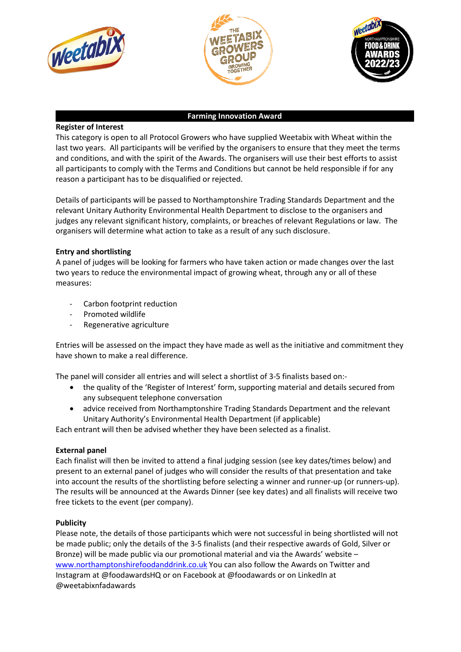





#### **Farming Innovation Award**

### **Register of Interest**

This category is open to all Protocol Growers who have supplied Weetabix with Wheat within the last two years. All participants will be verified by the organisers to ensure that they meet the terms and conditions, and with the spirit of the Awards. The organisers will use their best efforts to assist all participants to comply with the Terms and Conditions but cannot be held responsible if for any reason a participant has to be disqualified or rejected.

Details of participants will be passed to Northamptonshire Trading Standards Department and the relevant Unitary Authority Environmental Health Department to disclose to the organisers and judges any relevant significant history, complaints, or breaches of relevant Regulations or law. The organisers will determine what action to take as a result of any such disclosure.

### **Entry and shortlisting**

A panel of judges will be looking for farmers who have taken action or made changes over the last two years to reduce the environmental impact of growing wheat, through any or all of these measures:

- Carbon footprint reduction
- Promoted wildlife
- Regenerative agriculture

Entries will be assessed on the impact they have made as well as the initiative and commitment they have shown to make a real difference.

The panel will consider all entries and will select a shortlist of 3-5 finalists based on:-

- the quality of the 'Register of Interest' form, supporting material and details secured from any subsequent telephone conversation
- advice received from Northamptonshire Trading Standards Department and the relevant Unitary Authority's Environmental Health Department (if applicable)

Each entrant will then be advised whether they have been selected as a finalist.

#### **External panel**

Each finalist will then be invited to attend a final judging session (see key dates/times below) and present to an external panel of judges who will consider the results of that presentation and take into account the results of the shortlisting before selecting a winner and runner-up (or runners-up). The results will be announced at the Awards Dinner (see key dates) and all finalists will receive two free tickets to the event (per company).

#### **Publicity**

Please note, the details of those participants which were not successful in being shortlisted will not be made public; only the details of the 3-5 finalists (and their respective awards of Gold, Silver or Bronze) will be made public via our promotional material and via the Awards' website – [www.northamptonshirefoodanddrink.co.uk](http://www.northamptonshirefoodanddrink.co.uk/) You can also follow the Awards on Twitter and Instagram at @foodawardsHQ or on Facebook at @foodawards or on LinkedIn at @weetabixnfadawards